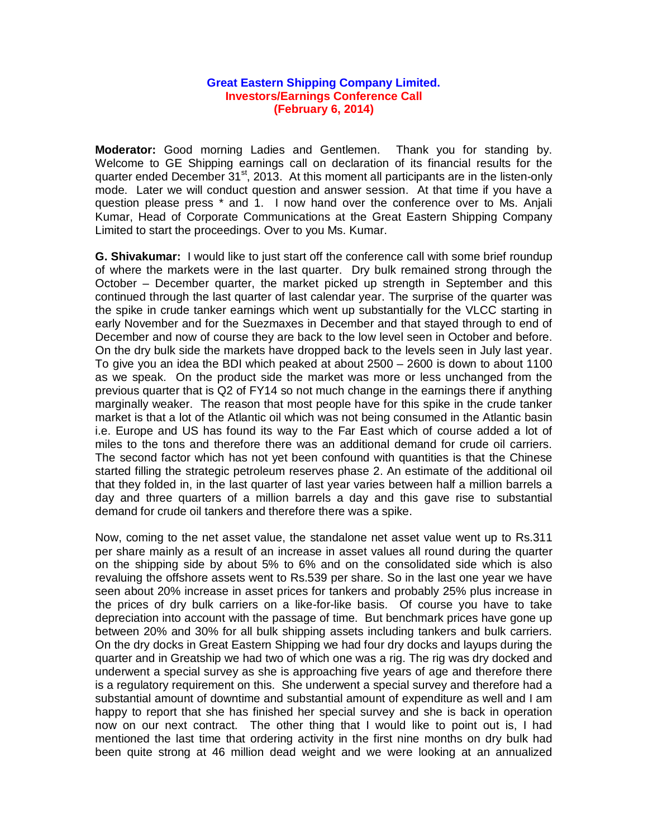## **Great Eastern Shipping Company Limited. Investors/Earnings Conference Call (February 6, 2014)**

**Moderator:** Good morning Ladies and Gentlemen. Thank you for standing by. Welcome to GE Shipping earnings call on declaration of its financial results for the quarter ended December  $31^{st}$ , 2013. At this moment all participants are in the listen-only mode. Later we will conduct question and answer session. At that time if you have a question please press \* and 1. I now hand over the conference over to Ms. Anjali Kumar, Head of Corporate Communications at the Great Eastern Shipping Company Limited to start the proceedings. Over to you Ms. Kumar.

**G. Shivakumar:** I would like to just start off the conference call with some brief roundup of where the markets were in the last quarter. Dry bulk remained strong through the October – December quarter, the market picked up strength in September and this continued through the last quarter of last calendar year. The surprise of the quarter was the spike in crude tanker earnings which went up substantially for the VLCC starting in early November and for the Suezmaxes in December and that stayed through to end of December and now of course they are back to the low level seen in October and before. On the dry bulk side the markets have dropped back to the levels seen in July last year. To give you an idea the BDI which peaked at about 2500 – 2600 is down to about 1100 as we speak. On the product side the market was more or less unchanged from the previous quarter that is Q2 of FY14 so not much change in the earnings there if anything marginally weaker. The reason that most people have for this spike in the crude tanker market is that a lot of the Atlantic oil which was not being consumed in the Atlantic basin i.e. Europe and US has found its way to the Far East which of course added a lot of miles to the tons and therefore there was an additional demand for crude oil carriers. The second factor which has not yet been confound with quantities is that the Chinese started filling the strategic petroleum reserves phase 2. An estimate of the additional oil that they folded in, in the last quarter of last year varies between half a million barrels a day and three quarters of a million barrels a day and this gave rise to substantial demand for crude oil tankers and therefore there was a spike.

Now, coming to the net asset value, the standalone net asset value went up to Rs.311 per share mainly as a result of an increase in asset values all round during the quarter on the shipping side by about 5% to 6% and on the consolidated side which is also revaluing the offshore assets went to Rs.539 per share. So in the last one year we have seen about 20% increase in asset prices for tankers and probably 25% plus increase in the prices of dry bulk carriers on a like-for-like basis. Of course you have to take depreciation into account with the passage of time. But benchmark prices have gone up between 20% and 30% for all bulk shipping assets including tankers and bulk carriers. On the dry docks in Great Eastern Shipping we had four dry docks and layups during the quarter and in Greatship we had two of which one was a rig. The rig was dry docked and underwent a special survey as she is approaching five years of age and therefore there is a regulatory requirement on this. She underwent a special survey and therefore had a substantial amount of downtime and substantial amount of expenditure as well and I am happy to report that she has finished her special survey and she is back in operation now on our next contract. The other thing that I would like to point out is, I had mentioned the last time that ordering activity in the first nine months on dry bulk had been quite strong at 46 million dead weight and we were looking at an annualized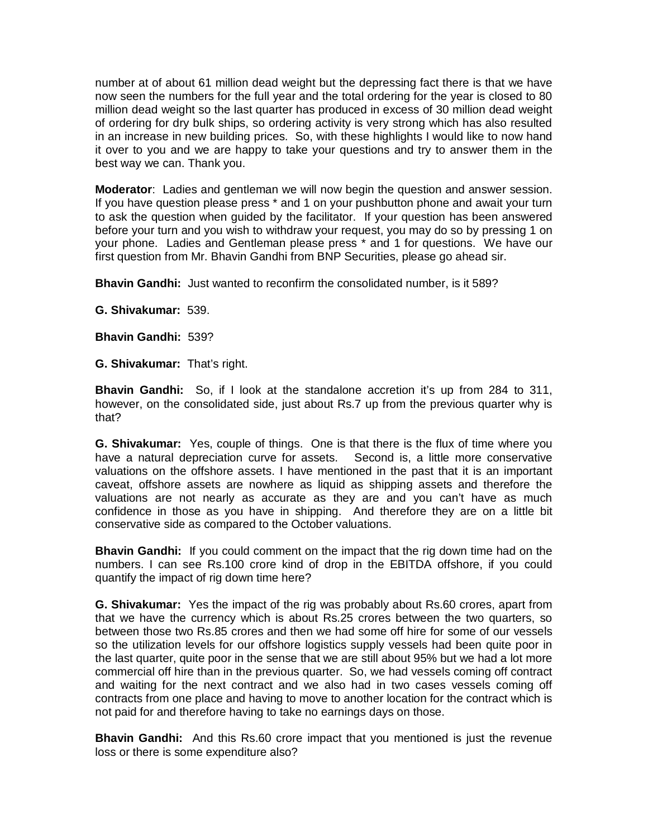number at of about 61 million dead weight but the depressing fact there is that we have now seen the numbers for the full year and the total ordering for the year is closed to 80 million dead weight so the last quarter has produced in excess of 30 million dead weight of ordering for dry bulk ships, so ordering activity is very strong which has also resulted in an increase in new building prices. So, with these highlights I would like to now hand it over to you and we are happy to take your questions and try to answer them in the best way we can. Thank you.

**Moderator**: Ladies and gentleman we will now begin the question and answer session. If you have question please press \* and 1 on your pushbutton phone and await your turn to ask the question when guided by the facilitator. If your question has been answered before your turn and you wish to withdraw your request, you may do so by pressing 1 on your phone. Ladies and Gentleman please press \* and 1 for questions. We have our first question from Mr. Bhavin Gandhi from BNP Securities, please go ahead sir.

**Bhavin Gandhi:** Just wanted to reconfirm the consolidated number, is it 589?

**G. Shivakumar:** 539.

**Bhavin Gandhi:** 539?

**G. Shivakumar:** That's right.

**Bhavin Gandhi:** So, if I look at the standalone accretion it's up from 284 to 311, however, on the consolidated side, just about Rs.7 up from the previous quarter why is that?

**G. Shivakumar:** Yes, couple of things. One is that there is the flux of time where you have a natural depreciation curve for assets. Second is, a little more conservative valuations on the offshore assets. I have mentioned in the past that it is an important caveat, offshore assets are nowhere as liquid as shipping assets and therefore the valuations are not nearly as accurate as they are and you can't have as much confidence in those as you have in shipping. And therefore they are on a little bit conservative side as compared to the October valuations.

**Bhavin Gandhi:** If you could comment on the impact that the rig down time had on the numbers. I can see Rs.100 crore kind of drop in the EBITDA offshore, if you could quantify the impact of rig down time here?

**G. Shivakumar:** Yes the impact of the rig was probably about Rs.60 crores, apart from that we have the currency which is about Rs.25 crores between the two quarters, so between those two Rs.85 crores and then we had some off hire for some of our vessels so the utilization levels for our offshore logistics supply vessels had been quite poor in the last quarter, quite poor in the sense that we are still about 95% but we had a lot more commercial off hire than in the previous quarter. So, we had vessels coming off contract and waiting for the next contract and we also had in two cases vessels coming off contracts from one place and having to move to another location for the contract which is not paid for and therefore having to take no earnings days on those.

**Bhavin Gandhi:** And this Rs.60 crore impact that you mentioned is just the revenue loss or there is some expenditure also?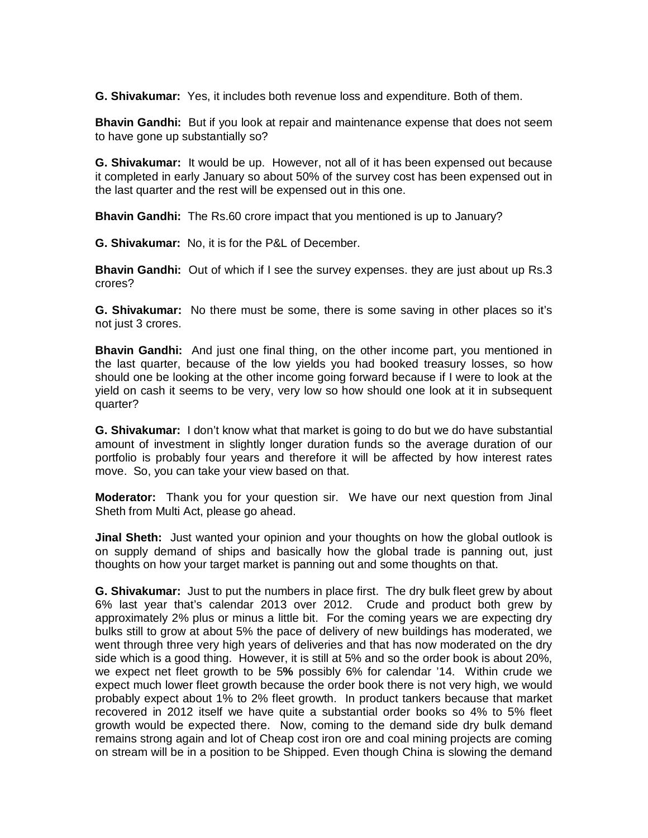**G. Shivakumar:** Yes, it includes both revenue loss and expenditure. Both of them.

**Bhavin Gandhi:** But if you look at repair and maintenance expense that does not seem to have gone up substantially so?

**G. Shivakumar:** It would be up. However, not all of it has been expensed out because it completed in early January so about 50% of the survey cost has been expensed out in the last quarter and the rest will be expensed out in this one.

**Bhavin Gandhi:** The Rs.60 crore impact that you mentioned is up to January?

**G. Shivakumar:** No, it is for the P&L of December.

**Bhavin Gandhi:** Out of which if I see the survey expenses. they are just about up Rs.3 crores?

**G. Shivakumar:** No there must be some, there is some saving in other places so it's not just 3 crores.

**Bhavin Gandhi:** And just one final thing, on the other income part, you mentioned in the last quarter, because of the low yields you had booked treasury losses, so how should one be looking at the other income going forward because if I were to look at the yield on cash it seems to be very, very low so how should one look at it in subsequent quarter?

**G. Shivakumar:** I don't know what that market is going to do but we do have substantial amount of investment in slightly longer duration funds so the average duration of our portfolio is probably four years and therefore it will be affected by how interest rates move. So, you can take your view based on that.

**Moderator:** Thank you for your question sir. We have our next question from Jinal Sheth from Multi Act, please go ahead.

**Jinal Sheth:** Just wanted your opinion and your thoughts on how the global outlook is on supply demand of ships and basically how the global trade is panning out, just thoughts on how your target market is panning out and some thoughts on that.

**G. Shivakumar:** Just to put the numbers in place first. The dry bulk fleet grew by about 6% last year that's calendar 2013 over 2012. Crude and product both grew by approximately 2% plus or minus a little bit. For the coming years we are expecting dry bulks still to grow at about 5% the pace of delivery of new buildings has moderated, we went through three very high years of deliveries and that has now moderated on the dry side which is a good thing. However, it is still at 5% and so the order book is about 20%, we expect net fleet growth to be 5**%** possibly 6% for calendar '14. Within crude we expect much lower fleet growth because the order book there is not very high, we would probably expect about 1% to 2% fleet growth. In product tankers because that market recovered in 2012 itself we have quite a substantial order books so 4% to 5% fleet growth would be expected there. Now, coming to the demand side dry bulk demand remains strong again and lot of Cheap cost iron ore and coal mining projects are coming on stream will be in a position to be Shipped. Even though China is slowing the demand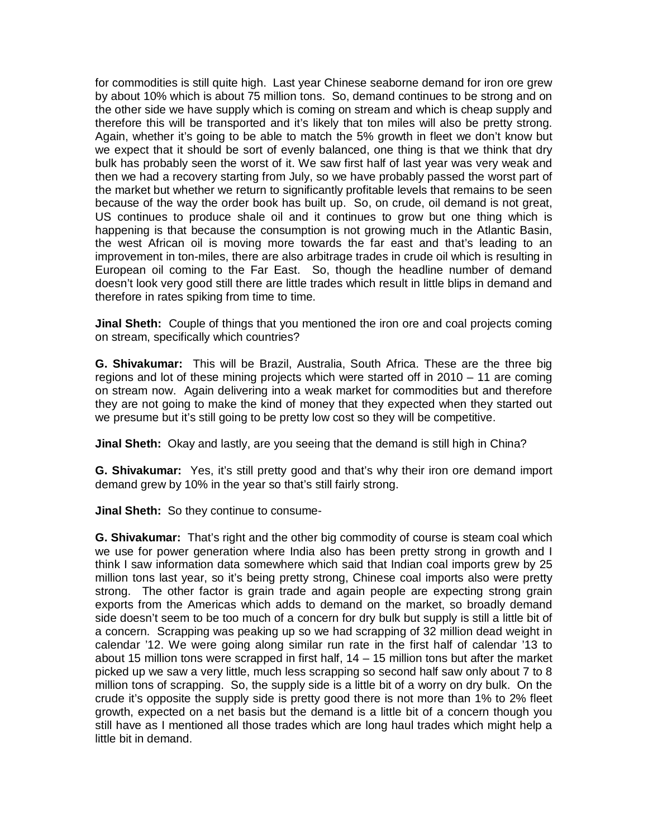for commodities is still quite high. Last year Chinese seaborne demand for iron ore grew by about 10% which is about 75 million tons. So, demand continues to be strong and on the other side we have supply which is coming on stream and which is cheap supply and therefore this will be transported and it's likely that ton miles will also be pretty strong. Again, whether it's going to be able to match the 5% growth in fleet we don't know but we expect that it should be sort of evenly balanced, one thing is that we think that dry bulk has probably seen the worst of it. We saw first half of last year was very weak and then we had a recovery starting from July, so we have probably passed the worst part of the market but whether we return to significantly profitable levels that remains to be seen because of the way the order book has built up. So, on crude, oil demand is not great, US continues to produce shale oil and it continues to grow but one thing which is happening is that because the consumption is not growing much in the Atlantic Basin, the west African oil is moving more towards the far east and that's leading to an improvement in ton-miles, there are also arbitrage trades in crude oil which is resulting in European oil coming to the Far East. So, though the headline number of demand doesn't look very good still there are little trades which result in little blips in demand and therefore in rates spiking from time to time.

**Jinal Sheth:** Couple of things that you mentioned the iron ore and coal projects coming on stream, specifically which countries?

**G. Shivakumar:** This will be Brazil, Australia, South Africa. These are the three big regions and lot of these mining projects which were started off in 2010 – 11 are coming on stream now. Again delivering into a weak market for commodities but and therefore they are not going to make the kind of money that they expected when they started out we presume but it's still going to be pretty low cost so they will be competitive.

**Jinal Sheth:** Okay and lastly, are you seeing that the demand is still high in China?

**G. Shivakumar:** Yes, it's still pretty good and that's why their iron ore demand import demand grew by 10% in the year so that's still fairly strong.

**Jinal Sheth:** So they continue to consume-

**G. Shivakumar:** That's right and the other big commodity of course is steam coal which we use for power generation where India also has been pretty strong in growth and I think I saw information data somewhere which said that Indian coal imports grew by 25 million tons last year, so it's being pretty strong, Chinese coal imports also were pretty strong. The other factor is grain trade and again people are expecting strong grain exports from the Americas which adds to demand on the market, so broadly demand side doesn't seem to be too much of a concern for dry bulk but supply is still a little bit of a concern. Scrapping was peaking up so we had scrapping of 32 million dead weight in calendar '12. We were going along similar run rate in the first half of calendar '13 to about 15 million tons were scrapped in first half, 14 – 15 million tons but after the market picked up we saw a very little, much less scrapping so second half saw only about 7 to 8 million tons of scrapping. So, the supply side is a little bit of a worry on dry bulk. On the crude it's opposite the supply side is pretty good there is not more than 1% to 2% fleet growth, expected on a net basis but the demand is a little bit of a concern though you still have as I mentioned all those trades which are long haul trades which might help a little bit in demand.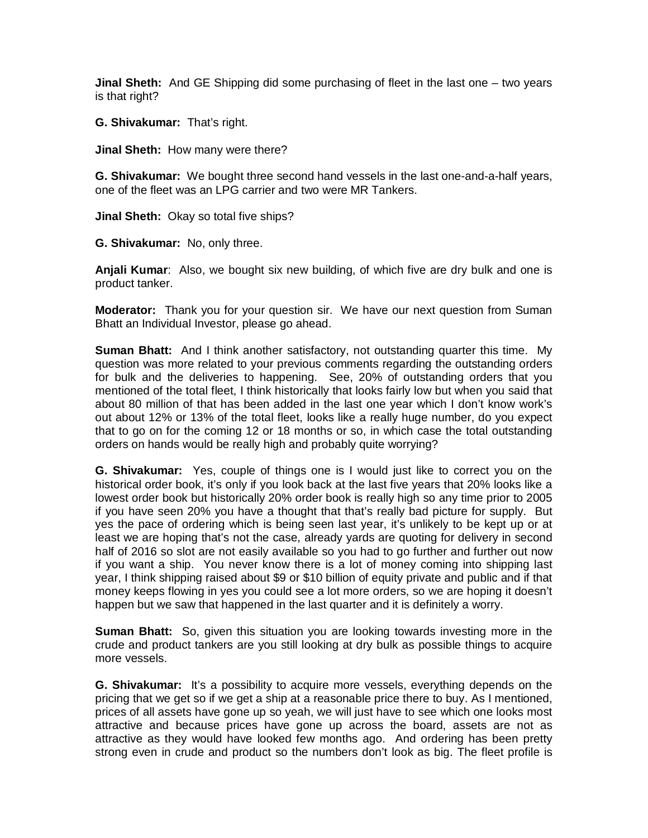**Jinal Sheth:** And GE Shipping did some purchasing of fleet in the last one – two years is that right?

**G. Shivakumar:** That's right.

**Jinal Sheth:** How many were there?

**G. Shivakumar:** We bought three second hand vessels in the last one-and-a-half years, one of the fleet was an LPG carrier and two were MR Tankers.

**Jinal Sheth:** Okay so total five ships?

**G. Shivakumar:** No, only three.

**Anjali Kumar**: Also, we bought six new building, of which five are dry bulk and one is product tanker.

**Moderator:** Thank you for your question sir. We have our next question from Suman Bhatt an Individual Investor, please go ahead.

**Suman Bhatt:** And I think another satisfactory, not outstanding quarter this time. My question was more related to your previous comments regarding the outstanding orders for bulk and the deliveries to happening. See, 20% of outstanding orders that you mentioned of the total fleet, I think historically that looks fairly low but when you said that about 80 million of that has been added in the last one year which I don't know work's out about 12% or 13% of the total fleet, looks like a really huge number, do you expect that to go on for the coming 12 or 18 months or so, in which case the total outstanding orders on hands would be really high and probably quite worrying?

**G. Shivakumar:** Yes, couple of things one is I would just like to correct you on the historical order book, it's only if you look back at the last five years that 20% looks like a lowest order book but historically 20% order book is really high so any time prior to 2005 if you have seen 20% you have a thought that that's really bad picture for supply. But yes the pace of ordering which is being seen last year, it's unlikely to be kept up or at least we are hoping that's not the case, already yards are quoting for delivery in second half of 2016 so slot are not easily available so you had to go further and further out now if you want a ship. You never know there is a lot of money coming into shipping last year, I think shipping raised about \$9 or \$10 billion of equity private and public and if that money keeps flowing in yes you could see a lot more orders, so we are hoping it doesn't happen but we saw that happened in the last quarter and it is definitely a worry.

**Suman Bhatt:** So, given this situation you are looking towards investing more in the crude and product tankers are you still looking at dry bulk as possible things to acquire more vessels.

**G. Shivakumar:** It's a possibility to acquire more vessels, everything depends on the pricing that we get so if we get a ship at a reasonable price there to buy. As I mentioned, prices of all assets have gone up so yeah, we will just have to see which one looks most attractive and because prices have gone up across the board, assets are not as attractive as they would have looked few months ago. And ordering has been pretty strong even in crude and product so the numbers don't look as big. The fleet profile is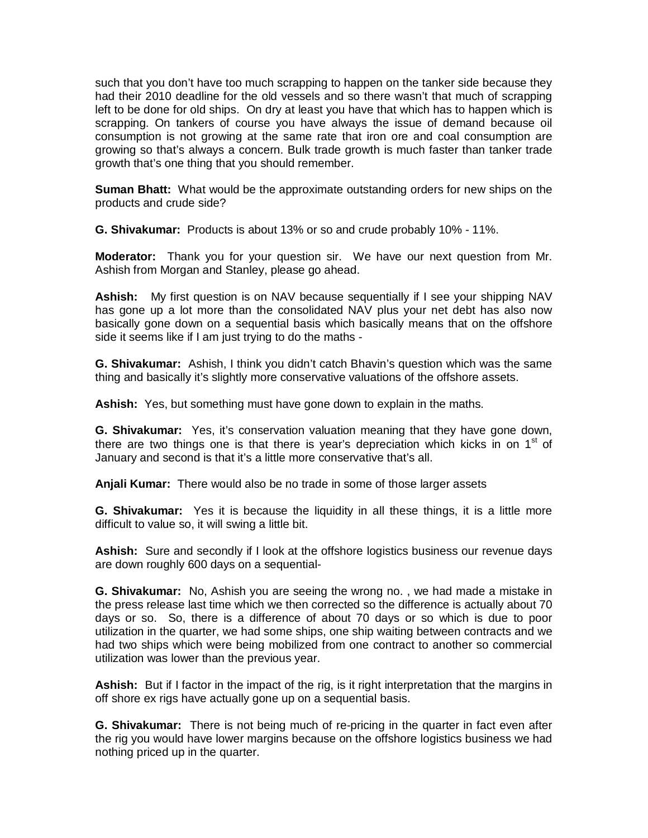such that you don't have too much scrapping to happen on the tanker side because they had their 2010 deadline for the old vessels and so there wasn't that much of scrapping left to be done for old ships. On dry at least you have that which has to happen which is scrapping. On tankers of course you have always the issue of demand because oil consumption is not growing at the same rate that iron ore and coal consumption are growing so that's always a concern. Bulk trade growth is much faster than tanker trade growth that's one thing that you should remember.

**Suman Bhatt:** What would be the approximate outstanding orders for new ships on the products and crude side?

**G. Shivakumar:** Products is about 13% or so and crude probably 10% - 11%.

**Moderator:** Thank you for your question sir. We have our next question from Mr. Ashish from Morgan and Stanley, please go ahead.

**Ashish:** My first question is on NAV because sequentially if I see your shipping NAV has gone up a lot more than the consolidated NAV plus your net debt has also now basically gone down on a sequential basis which basically means that on the offshore side it seems like if I am just trying to do the maths -

**G. Shivakumar:** Ashish, I think you didn't catch Bhavin's question which was the same thing and basically it's slightly more conservative valuations of the offshore assets.

**Ashish:** Yes, but something must have gone down to explain in the maths.

**G. Shivakumar:** Yes, it's conservation valuation meaning that they have gone down, there are two things one is that there is year's depreciation which kicks in on  $1<sup>st</sup>$  of January and second is that it's a little more conservative that's all.

**Anjali Kumar:** There would also be no trade in some of those larger assets

**G. Shivakumar:** Yes it is because the liquidity in all these things, it is a little more difficult to value so, it will swing a little bit.

Ashish: Sure and secondly if I look at the offshore logistics business our revenue days are down roughly 600 days on a sequential-

**G. Shivakumar:** No, Ashish you are seeing the wrong no. , we had made a mistake in the press release last time which we then corrected so the difference is actually about 70 days or so. So, there is a difference of about 70 days or so which is due to poor utilization in the quarter, we had some ships, one ship waiting between contracts and we had two ships which were being mobilized from one contract to another so commercial utilization was lower than the previous year.

**Ashish:** But if I factor in the impact of the rig, is it right interpretation that the margins in off shore ex rigs have actually gone up on a sequential basis.

**G. Shivakumar:** There is not being much of re-pricing in the quarter in fact even after the rig you would have lower margins because on the offshore logistics business we had nothing priced up in the quarter.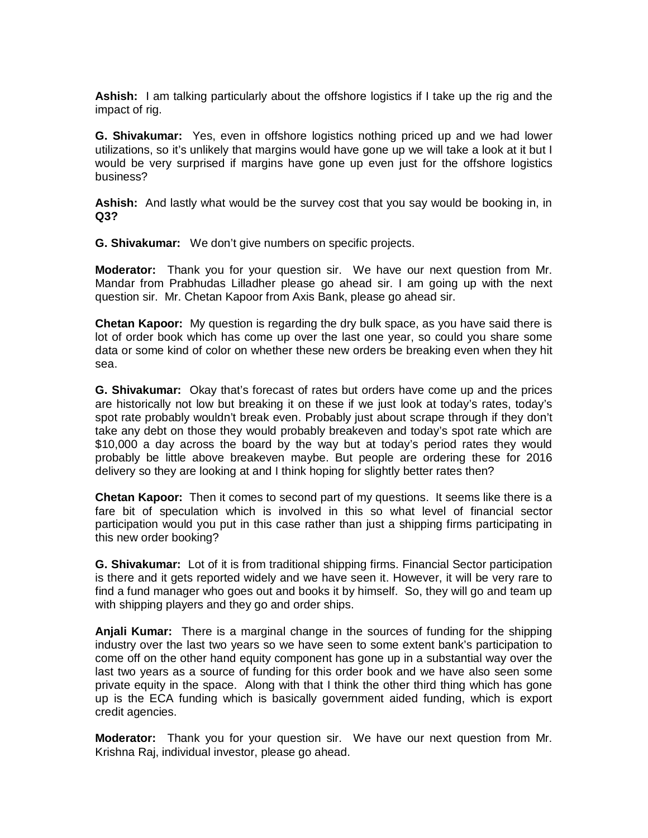**Ashish:** I am talking particularly about the offshore logistics if I take up the rig and the impact of rig.

**G. Shivakumar:** Yes, even in offshore logistics nothing priced up and we had lower utilizations, so it's unlikely that margins would have gone up we will take a look at it but I would be very surprised if margins have gone up even just for the offshore logistics business?

**Ashish:** And lastly what would be the survey cost that you say would be booking in, in **Q3?**

**G. Shivakumar:** We don't give numbers on specific projects.

**Moderator:** Thank you for your question sir. We have our next question from Mr. Mandar from Prabhudas Lilladher please go ahead sir. I am going up with the next question sir. Mr. Chetan Kapoor from Axis Bank, please go ahead sir.

**Chetan Kapoor:** My question is regarding the dry bulk space, as you have said there is lot of order book which has come up over the last one year, so could you share some data or some kind of color on whether these new orders be breaking even when they hit sea.

**G. Shivakumar:** Okay that's forecast of rates but orders have come up and the prices are historically not low but breaking it on these if we just look at today's rates, today's spot rate probably wouldn't break even. Probably just about scrape through if they don't take any debt on those they would probably breakeven and today's spot rate which are \$10,000 a day across the board by the way but at today's period rates they would probably be little above breakeven maybe. But people are ordering these for 2016 delivery so they are looking at and I think hoping for slightly better rates then?

**Chetan Kapoor:** Then it comes to second part of my questions. It seems like there is a fare bit of speculation which is involved in this so what level of financial sector participation would you put in this case rather than just a shipping firms participating in this new order booking?

**G. Shivakumar:** Lot of it is from traditional shipping firms. Financial Sector participation is there and it gets reported widely and we have seen it. However, it will be very rare to find a fund manager who goes out and books it by himself. So, they will go and team up with shipping players and they go and order ships.

**Anjali Kumar:** There is a marginal change in the sources of funding for the shipping industry over the last two years so we have seen to some extent bank's participation to come off on the other hand equity component has gone up in a substantial way over the last two years as a source of funding for this order book and we have also seen some private equity in the space. Along with that I think the other third thing which has gone up is the ECA funding which is basically government aided funding, which is export credit agencies.

**Moderator:** Thank you for your question sir. We have our next question from Mr. Krishna Raj, individual investor, please go ahead.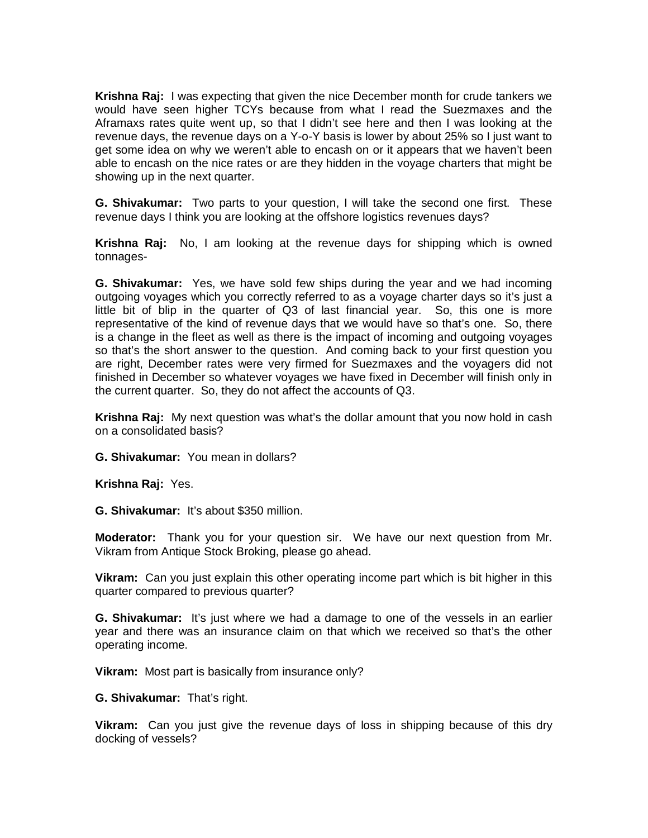**Krishna Raj:** I was expecting that given the nice December month for crude tankers we would have seen higher TCYs because from what I read the Suezmaxes and the Aframaxs rates quite went up, so that I didn't see here and then I was looking at the revenue days, the revenue days on a Y-o-Y basis is lower by about 25% so I just want to get some idea on why we weren't able to encash on or it appears that we haven't been able to encash on the nice rates or are they hidden in the voyage charters that might be showing up in the next quarter.

**G. Shivakumar:** Two parts to your question, I will take the second one first. These revenue days I think you are looking at the offshore logistics revenues days?

**Krishna Raj:** No, I am looking at the revenue days for shipping which is owned tonnages-

**G. Shivakumar:** Yes, we have sold few ships during the year and we had incoming outgoing voyages which you correctly referred to as a voyage charter days so it's just a little bit of blip in the quarter of Q3 of last financial year. So, this one is more representative of the kind of revenue days that we would have so that's one. So, there is a change in the fleet as well as there is the impact of incoming and outgoing voyages so that's the short answer to the question. And coming back to your first question you are right, December rates were very firmed for Suezmaxes and the voyagers did not finished in December so whatever voyages we have fixed in December will finish only in the current quarter. So, they do not affect the accounts of Q3.

**Krishna Raj:** My next question was what's the dollar amount that you now hold in cash on a consolidated basis?

**G. Shivakumar:** You mean in dollars?

**Krishna Raj:** Yes.

**G. Shivakumar:** It's about \$350 million.

**Moderator:** Thank you for your question sir. We have our next question from Mr. Vikram from Antique Stock Broking, please go ahead.

**Vikram:** Can you just explain this other operating income part which is bit higher in this quarter compared to previous quarter?

**G. Shivakumar:** It's just where we had a damage to one of the vessels in an earlier year and there was an insurance claim on that which we received so that's the other operating income.

**Vikram:** Most part is basically from insurance only?

**G. Shivakumar:** That's right.

**Vikram:** Can you just give the revenue days of loss in shipping because of this dry docking of vessels?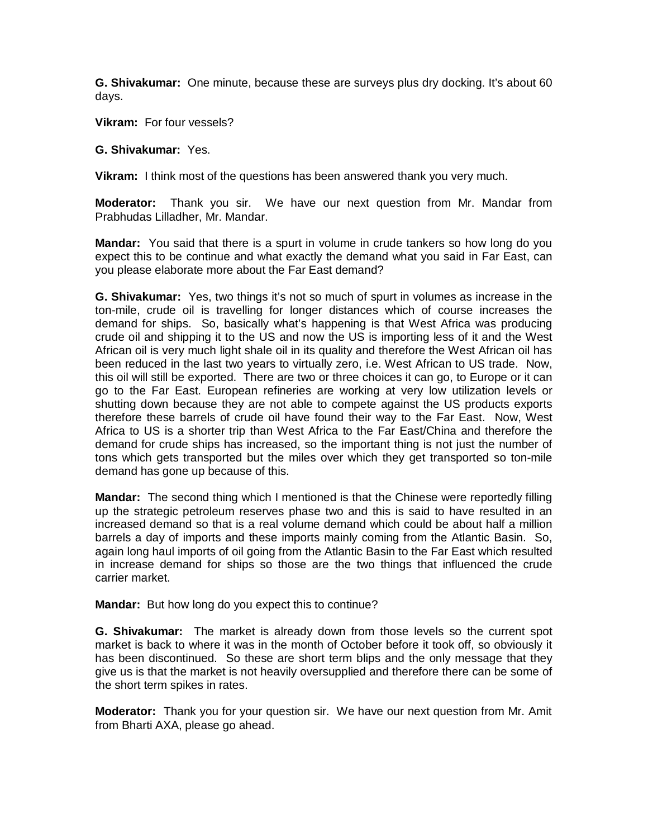**G. Shivakumar:** One minute, because these are surveys plus dry docking. It's about 60 days.

**Vikram:** For four vessels?

## **G. Shivakumar:** Yes.

**Vikram:** I think most of the questions has been answered thank you very much.

**Moderator:** Thank you sir. We have our next question from Mr. Mandar from Prabhudas Lilladher, Mr. Mandar.

**Mandar:** You said that there is a spurt in volume in crude tankers so how long do you expect this to be continue and what exactly the demand what you said in Far East, can you please elaborate more about the Far East demand?

**G. Shivakumar:** Yes, two things it's not so much of spurt in volumes as increase in the ton-mile, crude oil is travelling for longer distances which of course increases the demand for ships. So, basically what's happening is that West Africa was producing crude oil and shipping it to the US and now the US is importing less of it and the West African oil is very much light shale oil in its quality and therefore the West African oil has been reduced in the last two years to virtually zero, i.e. West African to US trade. Now, this oil will still be exported. There are two or three choices it can go, to Europe or it can go to the Far East. European refineries are working at very low utilization levels or shutting down because they are not able to compete against the US products exports therefore these barrels of crude oil have found their way to the Far East. Now, West Africa to US is a shorter trip than West Africa to the Far East/China and therefore the demand for crude ships has increased, so the important thing is not just the number of tons which gets transported but the miles over which they get transported so ton-mile demand has gone up because of this.

**Mandar:** The second thing which I mentioned is that the Chinese were reportedly filling up the strategic petroleum reserves phase two and this is said to have resulted in an increased demand so that is a real volume demand which could be about half a million barrels a day of imports and these imports mainly coming from the Atlantic Basin. So, again long haul imports of oil going from the Atlantic Basin to the Far East which resulted in increase demand for ships so those are the two things that influenced the crude carrier market.

**Mandar:** But how long do you expect this to continue?

**G. Shivakumar:** The market is already down from those levels so the current spot market is back to where it was in the month of October before it took off, so obviously it has been discontinued. So these are short term blips and the only message that they give us is that the market is not heavily oversupplied and therefore there can be some of the short term spikes in rates.

**Moderator:** Thank you for your question sir. We have our next question from Mr. Amit from Bharti AXA, please go ahead.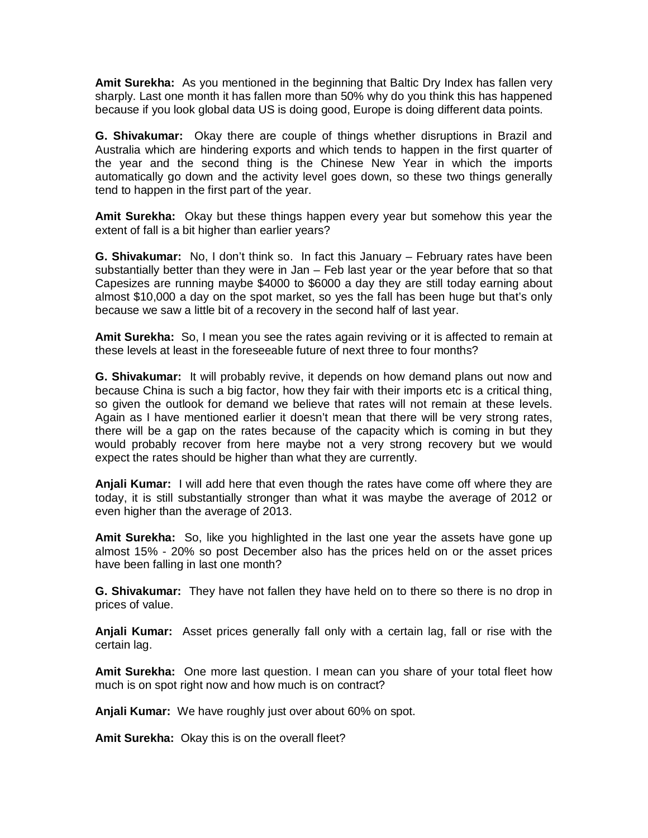**Amit Surekha:** As you mentioned in the beginning that Baltic Dry Index has fallen very sharply. Last one month it has fallen more than 50% why do you think this has happened because if you look global data US is doing good, Europe is doing different data points.

**G. Shivakumar:** Okay there are couple of things whether disruptions in Brazil and Australia which are hindering exports and which tends to happen in the first quarter of the year and the second thing is the Chinese New Year in which the imports automatically go down and the activity level goes down, so these two things generally tend to happen in the first part of the year.

**Amit Surekha:** Okay but these things happen every year but somehow this year the extent of fall is a bit higher than earlier years?

**G. Shivakumar:** No, I don't think so. In fact this January – February rates have been substantially better than they were in Jan – Feb last year or the year before that so that Capesizes are running maybe \$4000 to \$6000 a day they are still today earning about almost \$10,000 a day on the spot market, so yes the fall has been huge but that's only because we saw a little bit of a recovery in the second half of last year.

**Amit Surekha:** So, I mean you see the rates again reviving or it is affected to remain at these levels at least in the foreseeable future of next three to four months?

**G. Shivakumar:** It will probably revive, it depends on how demand plans out now and because China is such a big factor, how they fair with their imports etc is a critical thing, so given the outlook for demand we believe that rates will not remain at these levels. Again as I have mentioned earlier it doesn't mean that there will be very strong rates, there will be a gap on the rates because of the capacity which is coming in but they would probably recover from here maybe not a very strong recovery but we would expect the rates should be higher than what they are currently.

**Anjali Kumar:** I will add here that even though the rates have come off where they are today, it is still substantially stronger than what it was maybe the average of 2012 or even higher than the average of 2013.

**Amit Surekha:** So, like you highlighted in the last one year the assets have gone up almost 15% - 20% so post December also has the prices held on or the asset prices have been falling in last one month?

**G. Shivakumar:** They have not fallen they have held on to there so there is no drop in prices of value.

**Anjali Kumar:** Asset prices generally fall only with a certain lag, fall or rise with the certain lag.

**Amit Surekha:** One more last question. I mean can you share of your total fleet how much is on spot right now and how much is on contract?

**Anjali Kumar:** We have roughly just over about 60% on spot.

**Amit Surekha:** Okay this is on the overall fleet?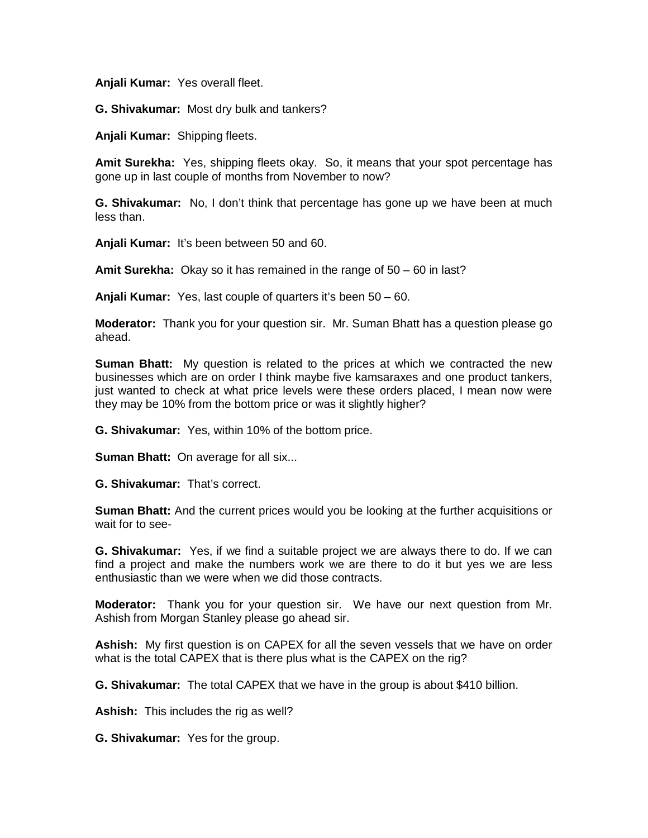**Anjali Kumar:** Yes overall fleet.

**G. Shivakumar:** Most dry bulk and tankers?

**Anjali Kumar:** Shipping fleets.

**Amit Surekha:** Yes, shipping fleets okay. So, it means that your spot percentage has gone up in last couple of months from November to now?

**G. Shivakumar:** No, I don't think that percentage has gone up we have been at much less than.

**Anjali Kumar:** It's been between 50 and 60.

**Amit Surekha:** Okay so it has remained in the range of 50 – 60 in last?

**Anjali Kumar:** Yes, last couple of quarters it's been 50 – 60.

**Moderator:** Thank you for your question sir. Mr. Suman Bhatt has a question please go ahead.

**Suman Bhatt:** My question is related to the prices at which we contracted the new businesses which are on order I think maybe five kamsaraxes and one product tankers, just wanted to check at what price levels were these orders placed, I mean now were they may be 10% from the bottom price or was it slightly higher?

**G. Shivakumar:** Yes, within 10% of the bottom price.

**Suman Bhatt: On average for all six...** 

**G. Shivakumar:** That's correct.

**Suman Bhatt:** And the current prices would you be looking at the further acquisitions or wait for to see-

**G. Shivakumar:** Yes, if we find a suitable project we are always there to do. If we can find a project and make the numbers work we are there to do it but yes we are less enthusiastic than we were when we did those contracts.

**Moderator:** Thank you for your question sir. We have our next question from Mr. Ashish from Morgan Stanley please go ahead sir.

**Ashish:** My first question is on CAPEX for all the seven vessels that we have on order what is the total CAPEX that is there plus what is the CAPEX on the rig?

**G. Shivakumar:** The total CAPEX that we have in the group is about \$410 billion.

**Ashish:** This includes the rig as well?

**G. Shivakumar:** Yes for the group.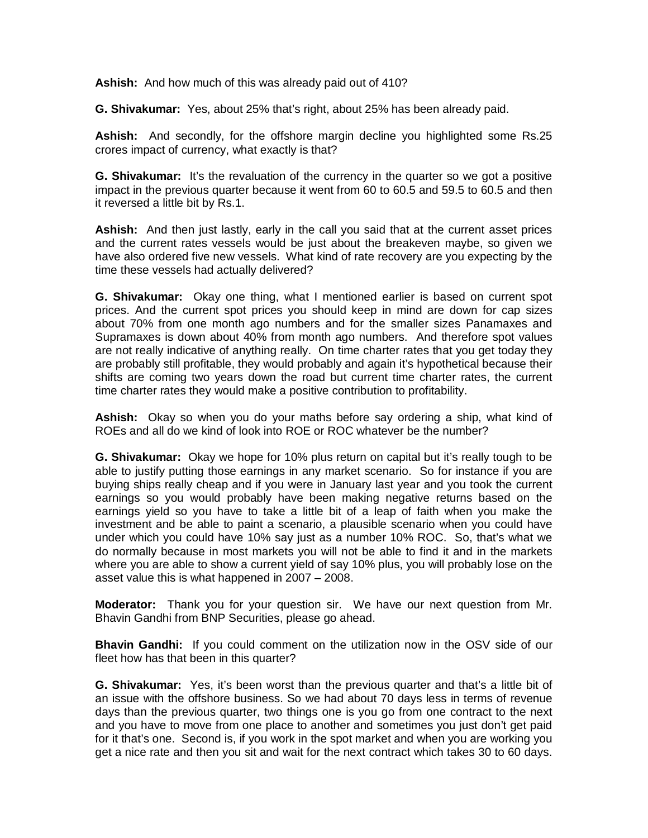**Ashish:** And how much of this was already paid out of 410?

**G. Shivakumar:** Yes, about 25% that's right, about 25% has been already paid.

**Ashish:** And secondly, for the offshore margin decline you highlighted some Rs.25 crores impact of currency, what exactly is that?

**G. Shivakumar:** It's the revaluation of the currency in the quarter so we got a positive impact in the previous quarter because it went from 60 to 60.5 and 59.5 to 60.5 and then it reversed a little bit by Rs.1.

**Ashish:** And then just lastly, early in the call you said that at the current asset prices and the current rates vessels would be just about the breakeven maybe, so given we have also ordered five new vessels. What kind of rate recovery are you expecting by the time these vessels had actually delivered?

**G. Shivakumar:** Okay one thing, what I mentioned earlier is based on current spot prices. And the current spot prices you should keep in mind are down for cap sizes about 70% from one month ago numbers and for the smaller sizes Panamaxes and Supramaxes is down about 40% from month ago numbers. And therefore spot values are not really indicative of anything really. On time charter rates that you get today they are probably still profitable, they would probably and again it's hypothetical because their shifts are coming two years down the road but current time charter rates, the current time charter rates they would make a positive contribution to profitability.

**Ashish:** Okay so when you do your maths before say ordering a ship, what kind of ROEs and all do we kind of look into ROE or ROC whatever be the number?

**G. Shivakumar:** Okay we hope for 10% plus return on capital but it's really tough to be able to justify putting those earnings in any market scenario. So for instance if you are buying ships really cheap and if you were in January last year and you took the current earnings so you would probably have been making negative returns based on the earnings yield so you have to take a little bit of a leap of faith when you make the investment and be able to paint a scenario, a plausible scenario when you could have under which you could have 10% say just as a number 10% ROC. So, that's what we do normally because in most markets you will not be able to find it and in the markets where you are able to show a current yield of say 10% plus, you will probably lose on the asset value this is what happened in 2007 – 2008.

**Moderator:** Thank you for your question sir. We have our next question from Mr. Bhavin Gandhi from BNP Securities, please go ahead.

**Bhavin Gandhi:** If you could comment on the utilization now in the OSV side of our fleet how has that been in this quarter?

**G. Shivakumar:** Yes, it's been worst than the previous quarter and that's a little bit of an issue with the offshore business. So we had about 70 days less in terms of revenue days than the previous quarter, two things one is you go from one contract to the next and you have to move from one place to another and sometimes you just don't get paid for it that's one. Second is, if you work in the spot market and when you are working you get a nice rate and then you sit and wait for the next contract which takes 30 to 60 days.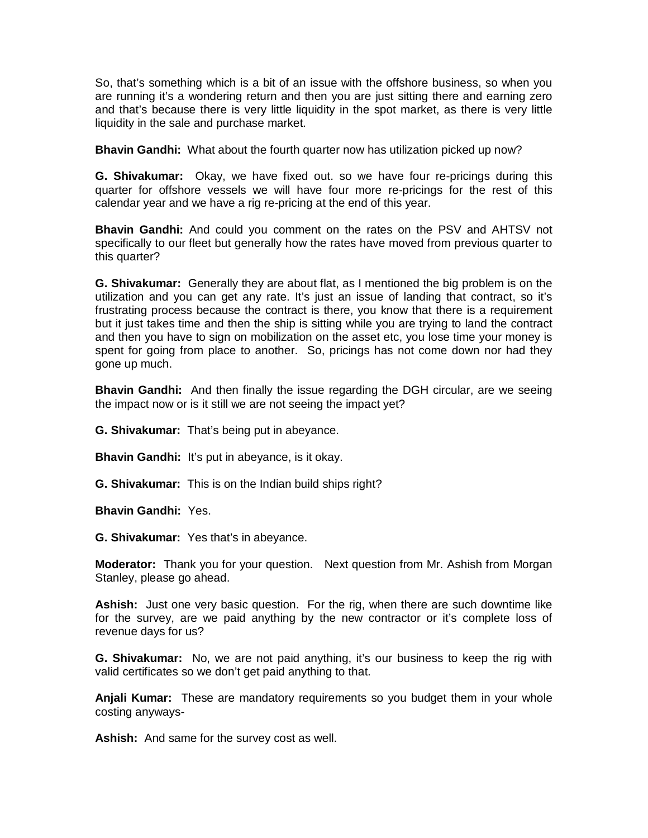So, that's something which is a bit of an issue with the offshore business, so when you are running it's a wondering return and then you are just sitting there and earning zero and that's because there is very little liquidity in the spot market, as there is very little liquidity in the sale and purchase market.

**Bhavin Gandhi:** What about the fourth quarter now has utilization picked up now?

**G. Shivakumar:** Okay, we have fixed out. so we have four re-pricings during this quarter for offshore vessels we will have four more re-pricings for the rest of this calendar year and we have a rig re-pricing at the end of this year.

**Bhavin Gandhi:** And could you comment on the rates on the PSV and AHTSV not specifically to our fleet but generally how the rates have moved from previous quarter to this quarter?

**G. Shivakumar:** Generally they are about flat, as I mentioned the big problem is on the utilization and you can get any rate. It's just an issue of landing that contract, so it's frustrating process because the contract is there, you know that there is a requirement but it just takes time and then the ship is sitting while you are trying to land the contract and then you have to sign on mobilization on the asset etc, you lose time your money is spent for going from place to another. So, pricings has not come down nor had they gone up much.

**Bhavin Gandhi:** And then finally the issue regarding the DGH circular, are we seeing the impact now or is it still we are not seeing the impact yet?

**G. Shivakumar:** That's being put in abeyance.

**Bhavin Gandhi:** It's put in abeyance, is it okay.

**G. Shivakumar:** This is on the Indian build ships right?

**Bhavin Gandhi:** Yes.

**G. Shivakumar:** Yes that's in abeyance.

**Moderator:** Thank you for your question. Next question from Mr. Ashish from Morgan Stanley, please go ahead.

**Ashish:** Just one very basic question. For the rig, when there are such downtime like for the survey, are we paid anything by the new contractor or it's complete loss of revenue days for us?

**G. Shivakumar:** No, we are not paid anything, it's our business to keep the rig with valid certificates so we don't get paid anything to that.

**Anjali Kumar:** These are mandatory requirements so you budget them in your whole costing anyways-

**Ashish:** And same for the survey cost as well.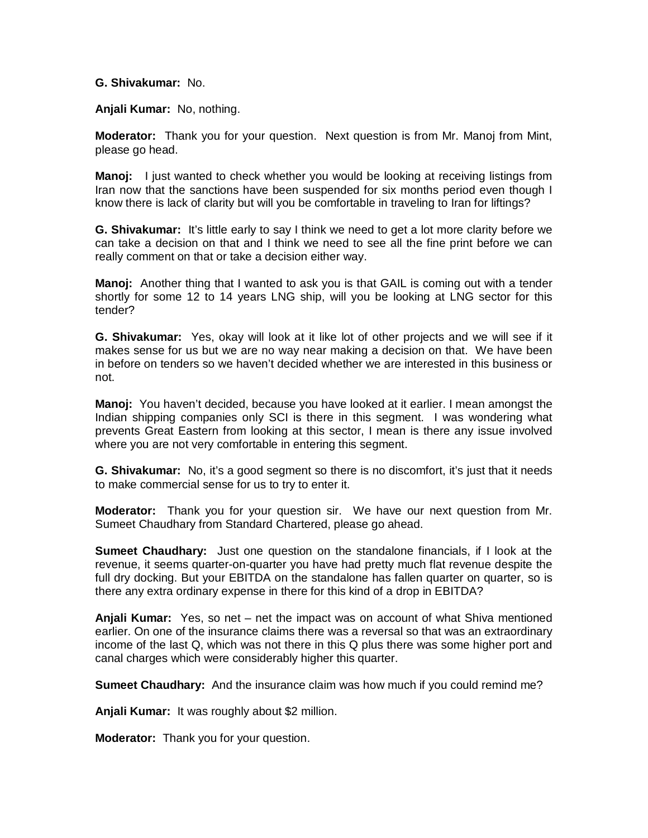## **G. Shivakumar:** No.

**Anjali Kumar:** No, nothing.

**Moderator:** Thank you for your question. Next question is from Mr. Manoj from Mint, please go head.

**Manoj:** I just wanted to check whether you would be looking at receiving listings from Iran now that the sanctions have been suspended for six months period even though I know there is lack of clarity but will you be comfortable in traveling to Iran for liftings?

**G. Shivakumar:** It's little early to say I think we need to get a lot more clarity before we can take a decision on that and I think we need to see all the fine print before we can really comment on that or take a decision either way.

**Manoj:** Another thing that I wanted to ask you is that GAIL is coming out with a tender shortly for some 12 to 14 years LNG ship, will you be looking at LNG sector for this tender?

**G. Shivakumar:** Yes, okay will look at it like lot of other projects and we will see if it makes sense for us but we are no way near making a decision on that. We have been in before on tenders so we haven't decided whether we are interested in this business or not.

**Manoj:** You haven't decided, because you have looked at it earlier. I mean amongst the Indian shipping companies only SCI is there in this segment. I was wondering what prevents Great Eastern from looking at this sector, I mean is there any issue involved where you are not very comfortable in entering this segment.

**G. Shivakumar:** No, it's a good segment so there is no discomfort, it's just that it needs to make commercial sense for us to try to enter it.

**Moderator:** Thank you for your question sir. We have our next question from Mr. Sumeet Chaudhary from Standard Chartered, please go ahead.

**Sumeet Chaudhary:** Just one question on the standalone financials, if I look at the revenue, it seems quarter-on-quarter you have had pretty much flat revenue despite the full dry docking. But your EBITDA on the standalone has fallen quarter on quarter, so is there any extra ordinary expense in there for this kind of a drop in EBITDA?

**Anjali Kumar:** Yes, so net – net the impact was on account of what Shiva mentioned earlier. On one of the insurance claims there was a reversal so that was an extraordinary income of the last Q, which was not there in this Q plus there was some higher port and canal charges which were considerably higher this quarter.

**Sumeet Chaudhary:** And the insurance claim was how much if you could remind me?

**Anjali Kumar:** It was roughly about \$2 million.

**Moderator:** Thank you for your question.